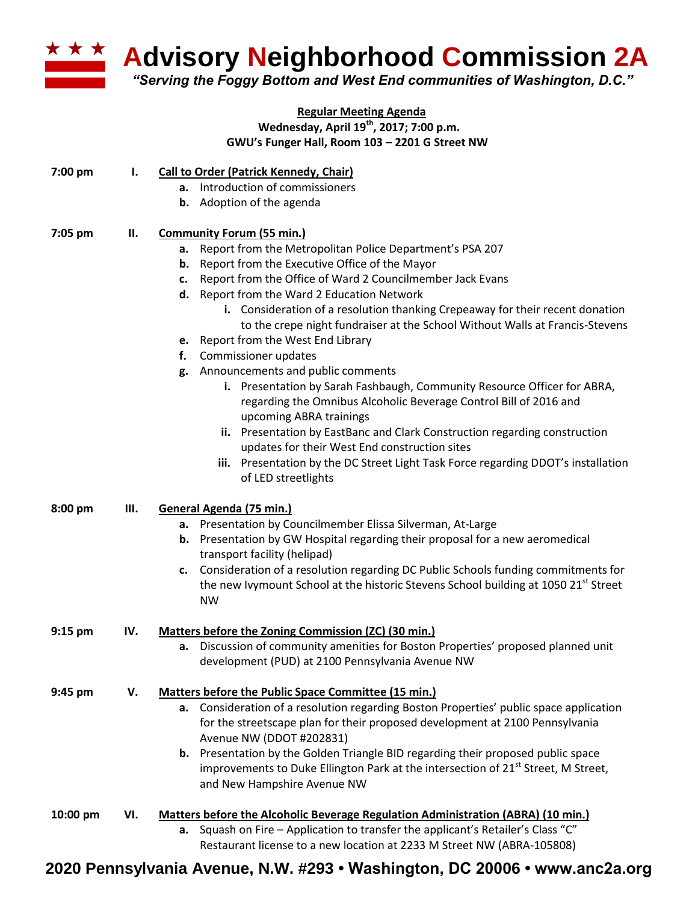

**Advisory Neighborhood Commission 2A** 

*"Serving the Foggy Bottom and West End communities of Washington, D.C."*

## **Regular Meeting Agenda Wednesday, April 19th , 2017; 7:00 p.m. GWU's Funger Hall, Room 103 – 2201 G Street NW**

| 7:00 pm   | Ι.  | <b>Call to Order (Patrick Kennedy, Chair)</b>                                                                                                                            |
|-----------|-----|--------------------------------------------------------------------------------------------------------------------------------------------------------------------------|
|           |     | a. Introduction of commissioners                                                                                                                                         |
|           |     | <b>b.</b> Adoption of the agenda                                                                                                                                         |
|           |     |                                                                                                                                                                          |
| 7:05 pm   | П.  | <b>Community Forum (55 min.)</b>                                                                                                                                         |
|           |     | a. Report from the Metropolitan Police Department's PSA 207                                                                                                              |
|           |     | Report from the Executive Office of the Mayor<br>b.                                                                                                                      |
|           |     | Report from the Office of Ward 2 Councilmember Jack Evans<br>c.                                                                                                          |
|           |     | d. Report from the Ward 2 Education Network                                                                                                                              |
|           |     | i. Consideration of a resolution thanking Crepeaway for their recent donation<br>to the crepe night fundraiser at the School Without Walls at Francis-Stevens            |
|           |     | e. Report from the West End Library                                                                                                                                      |
|           |     | Commissioner updates<br>f.                                                                                                                                               |
|           |     | Announcements and public comments<br>g.                                                                                                                                  |
|           |     | i. Presentation by Sarah Fashbaugh, Community Resource Officer for ABRA,<br>regarding the Omnibus Alcoholic Beverage Control Bill of 2016 and<br>upcoming ABRA trainings |
|           |     | ii. Presentation by EastBanc and Clark Construction regarding construction                                                                                               |
|           |     | updates for their West End construction sites                                                                                                                            |
|           |     | Presentation by the DC Street Light Task Force regarding DDOT's installation<br>iii.                                                                                     |
|           |     | of LED streetlights                                                                                                                                                      |
| 8:00 pm   | Ш.  | General Agenda (75 min.)                                                                                                                                                 |
|           |     | a. Presentation by Councilmember Elissa Silverman, At-Large                                                                                                              |
|           |     | b. Presentation by GW Hospital regarding their proposal for a new aeromedical                                                                                            |
|           |     | transport facility (helipad)                                                                                                                                             |
|           |     | Consideration of a resolution regarding DC Public Schools funding commitments for<br>c.                                                                                  |
|           |     | the new Ivymount School at the historic Stevens School building at 1050 21 <sup>st</sup> Street                                                                          |
|           |     | <b>NW</b>                                                                                                                                                                |
| $9:15$ pm | IV. | Matters before the Zoning Commission (ZC) (30 min.)                                                                                                                      |
|           |     | Discussion of community amenities for Boston Properties' proposed planned unit<br>а.                                                                                     |
|           |     | development (PUD) at 2100 Pennsylvania Avenue NW                                                                                                                         |
| 9:45 pm   | V.  | Matters before the Public Space Committee (15 min.)                                                                                                                      |
|           |     | a. Consideration of a resolution regarding Boston Properties' public space application                                                                                   |
|           |     | for the streetscape plan for their proposed development at 2100 Pennsylvania                                                                                             |
|           |     | Avenue NW (DDOT #202831)                                                                                                                                                 |
|           |     | <b>b.</b> Presentation by the Golden Triangle BID regarding their proposed public space                                                                                  |
|           |     | improvements to Duke Ellington Park at the intersection of 21 <sup>st</sup> Street, M Street,                                                                            |
|           |     | and New Hampshire Avenue NW                                                                                                                                              |
| 10:00 pm  | VI. | <b>Matters before the Alcoholic Beverage Regulation Administration (ABRA) (10 min.)</b>                                                                                  |
|           |     | a. Squash on Fire - Application to transfer the applicant's Retailer's Class "C"                                                                                         |
|           |     | Restaurant license to a new location at 2233 M Street NW (ABRA-105808)                                                                                                   |
|           |     |                                                                                                                                                                          |

**2020 Pennsylvania Avenue, N.W. #293 • Washington, DC 20006 • www.anc2a.org**